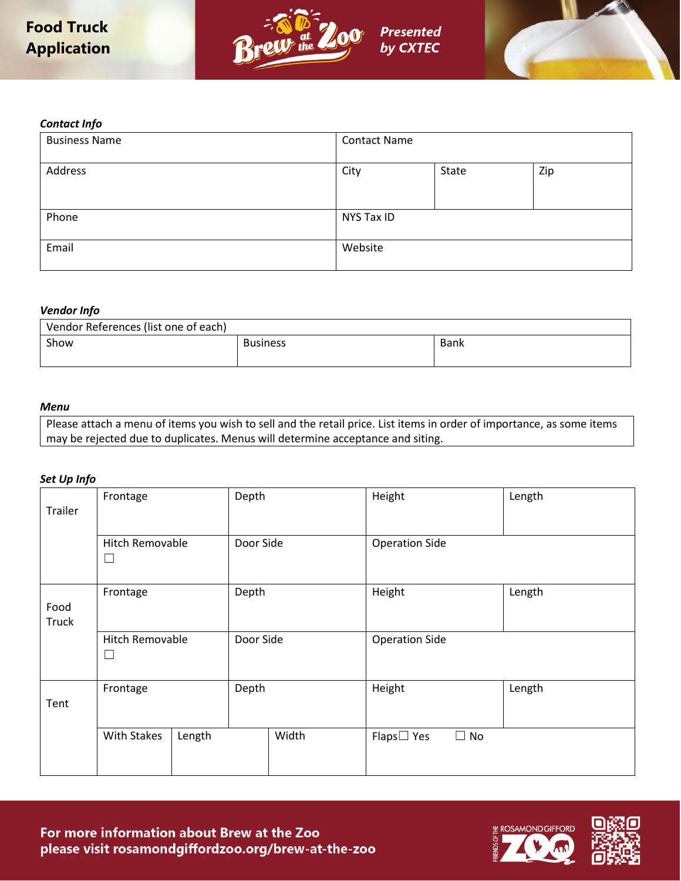



### *Contact Info*

| <b>Business Name</b> | <b>Contact Name</b> |       |     |
|----------------------|---------------------|-------|-----|
| Address              | City                | State | Zip |
| Phone                | NYS Tax ID          |       |     |
| Email                | Website             |       |     |

### *Vendor Info*

| Vendor References (list one of each) |                 |      |  |  |
|--------------------------------------|-----------------|------|--|--|
| Show                                 | <b>Business</b> | Bank |  |  |
|                                      |                 |      |  |  |

## *Menu*

Please attach a menu of items you wish to sell and the retail price. List items in order of importance, as some items may be rejected due to duplicates. Menus will determine acceptance and siting.

## *Set Up Info*

| Trailer              | Frontage                         | Depth     |           | Height                        | Length |
|----------------------|----------------------------------|-----------|-----------|-------------------------------|--------|
|                      | <b>Hitch Removable</b><br>⊔      |           | Door Side | <b>Operation Side</b>         |        |
| Food<br><b>Truck</b> | Frontage                         | Depth     |           | Height                        | Length |
|                      | <b>Hitch Removable</b><br>$\Box$ | Door Side |           | <b>Operation Side</b>         |        |
| Tent                 | Frontage                         | Depth     |           | Height                        | Length |
|                      | <b>With Stakes</b><br>Length     |           | Width     | $\Box$ No<br>$Flaps \Box Yes$ |        |



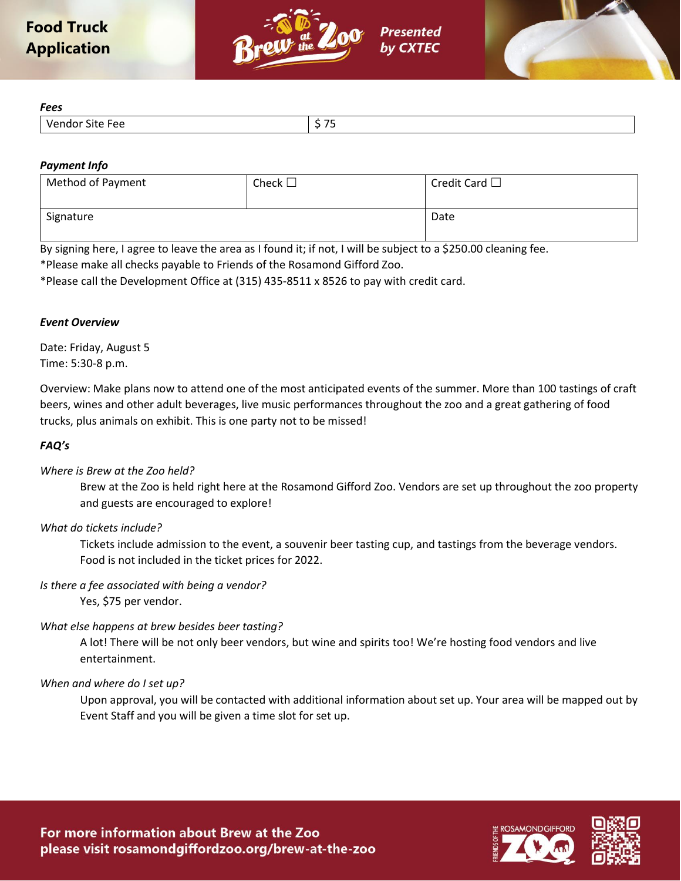



*Fees*

| ぃぃ              |                                      |
|-----------------|--------------------------------------|
| Vendor Site Fee | $- -$<br>$\sim$<br>. .<br>. .<br>. . |

# *Payment Info*

| Method of Payment | Check $\square$ | Credit Card $\square$ |
|-------------------|-----------------|-----------------------|
|                   |                 |                       |
| Signature         |                 | Date                  |

By signing here, I agree to leave the area as I found it; if not, I will be subject to a \$250.00 cleaning fee. \*Please make all checks payable to Friends of the Rosamond Gifford Zoo.

\*Please call the Development Office at (315) 435-8511 x 8526 to pay with credit card.

# *Event Overview*

Date: Friday, August 5 Time: 5:30-8 p.m.

Overview: Make plans now to attend one of the most anticipated events of the summer. More than 100 tastings of craft beers, wines and other adult beverages, live music performances throughout the zoo and a great gathering of food trucks, plus animals on exhibit. This is one party not to be missed!

## *FAQ's*

# *Where is Brew at the Zoo held?*

Brew at the Zoo is held right here at the Rosamond Gifford Zoo. Vendors are set up throughout the zoo property and guests are encouraged to explore!

## *What do tickets include?*

Tickets include admission to the event, a souvenir beer tasting cup, and tastings from the beverage vendors. Food is not included in the ticket prices for 2022.

## *Is there a fee associated with being a vendor?*

Yes, \$75 per vendor.

# *What else happens at brew besides beer tasting?*

A lot! There will be not only beer vendors, but wine and spirits too! We're hosting food vendors and live entertainment.

## *When and where do I set up?*

Upon approval, you will be contacted with additional information about set up. Your area will be mapped out by Event Staff and you will be given a time slot for set up.



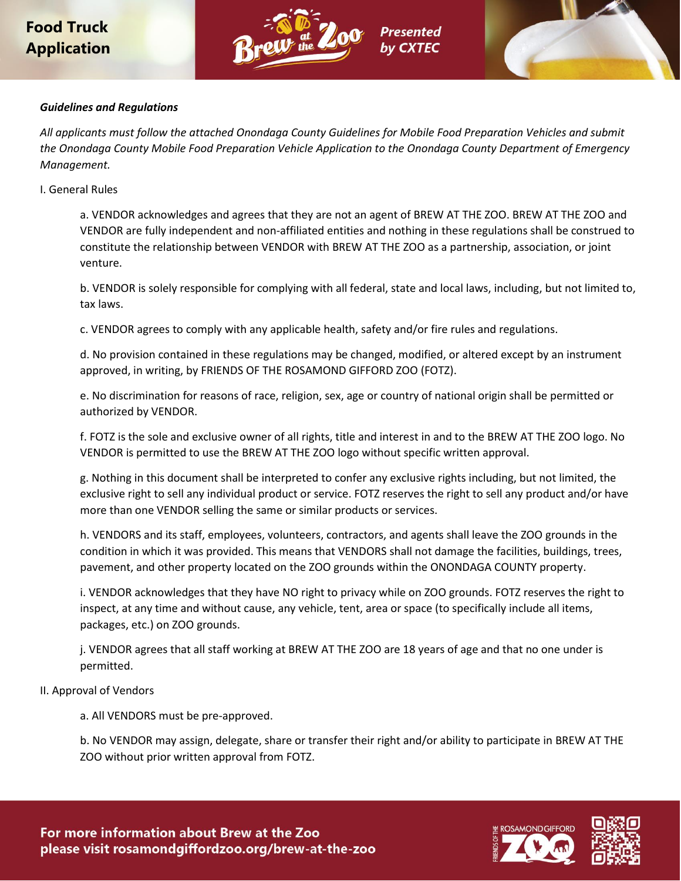# **Food Truck Application**





# *Guidelines and Regulations*

*All applicants must follow the attached Onondaga County Guidelines for Mobile Food Preparation Vehicles and submit the Onondaga County Mobile Food Preparation Vehicle Application to the Onondaga County Department of Emergency Management.*

## I. General Rules

a. VENDOR acknowledges and agrees that they are not an agent of BREW AT THE ZOO. BREW AT THE ZOO and VENDOR are fully independent and non-affiliated entities and nothing in these regulations shall be construed to constitute the relationship between VENDOR with BREW AT THE ZOO as a partnership, association, or joint venture.

b. VENDOR is solely responsible for complying with all federal, state and local laws, including, but not limited to, tax laws.

c. VENDOR agrees to comply with any applicable health, safety and/or fire rules and regulations.

d. No provision contained in these regulations may be changed, modified, or altered except by an instrument approved, in writing, by FRIENDS OF THE ROSAMOND GIFFORD ZOO (FOTZ).

e. No discrimination for reasons of race, religion, sex, age or country of national origin shall be permitted or authorized by VENDOR.

f. FOTZ is the sole and exclusive owner of all rights, title and interest in and to the BREW AT THE ZOO logo. No VENDOR is permitted to use the BREW AT THE ZOO logo without specific written approval.

g. Nothing in this document shall be interpreted to confer any exclusive rights including, but not limited, the exclusive right to sell any individual product or service. FOTZ reserves the right to sell any product and/or have more than one VENDOR selling the same or similar products or services.

h. VENDORS and its staff, employees, volunteers, contractors, and agents shall leave the ZOO grounds in the condition in which it was provided. This means that VENDORS shall not damage the facilities, buildings, trees, pavement, and other property located on the ZOO grounds within the ONONDAGA COUNTY property.

i. VENDOR acknowledges that they have NO right to privacy while on ZOO grounds. FOTZ reserves the right to inspect, at any time and without cause, any vehicle, tent, area or space (to specifically include all items, packages, etc.) on ZOO grounds.

j. VENDOR agrees that all staff working at BREW AT THE ZOO are 18 years of age and that no one under is permitted.

## II. Approval of Vendors

a. All VENDORS must be pre-approved.

b. No VENDOR may assign, delegate, share or transfer their right and/or ability to participate in BREW AT THE ZOO without prior written approval from FOTZ.



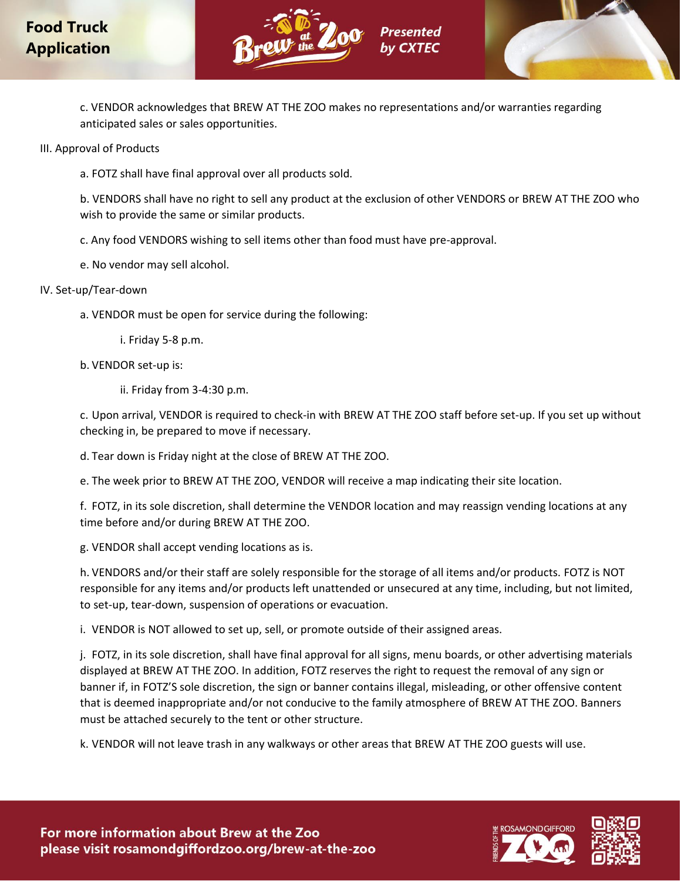



c. VENDOR acknowledges that BREW AT THE ZOO makes no representations and/or warranties regarding anticipated sales or sales opportunities.

III. Approval of Products

a. FOTZ shall have final approval over all products sold.

b. VENDORS shall have no right to sell any product at the exclusion of other VENDORS or BREW AT THE ZOO who wish to provide the same or similar products.

c. Any food VENDORS wishing to sell items other than food must have pre-approval.

e. No vendor may sell alcohol.

# IV. Set-up/Tear-down

a. VENDOR must be open for service during the following:

i. Friday 5-8 p.m.

b. VENDOR set-up is:

ii. Friday from 3-4:30 p.m.

c. Upon arrival, VENDOR is required to check-in with BREW AT THE ZOO staff before set-up. If you set up without checking in, be prepared to move if necessary.

d. Tear down is Friday night at the close of BREW AT THE ZOO.

e. The week prior to BREW AT THE ZOO, VENDOR will receive a map indicating their site location.

f. FOTZ, in its sole discretion, shall determine the VENDOR location and may reassign vending locations at any time before and/or during BREW AT THE ZOO.

g. VENDOR shall accept vending locations as is.

h. VENDORS and/or their staff are solely responsible for the storage of all items and/or products. FOTZ is NOT responsible for any items and/or products left unattended or unsecured at any time, including, but not limited, to set-up, tear-down, suspension of operations or evacuation.

i. VENDOR is NOT allowed to set up, sell, or promote outside of their assigned areas.

j. FOTZ, in its sole discretion, shall have final approval for all signs, menu boards, or other advertising materials displayed at BREW AT THE ZOO. In addition, FOTZ reserves the right to request the removal of any sign or banner if, in FOTZ'S sole discretion, the sign or banner contains illegal, misleading, or other offensive content that is deemed inappropriate and/or not conducive to the family atmosphere of BREW AT THE ZOO. Banners must be attached securely to the tent or other structure.

k. VENDOR will not leave trash in any walkways or other areas that BREW AT THE ZOO guests will use.



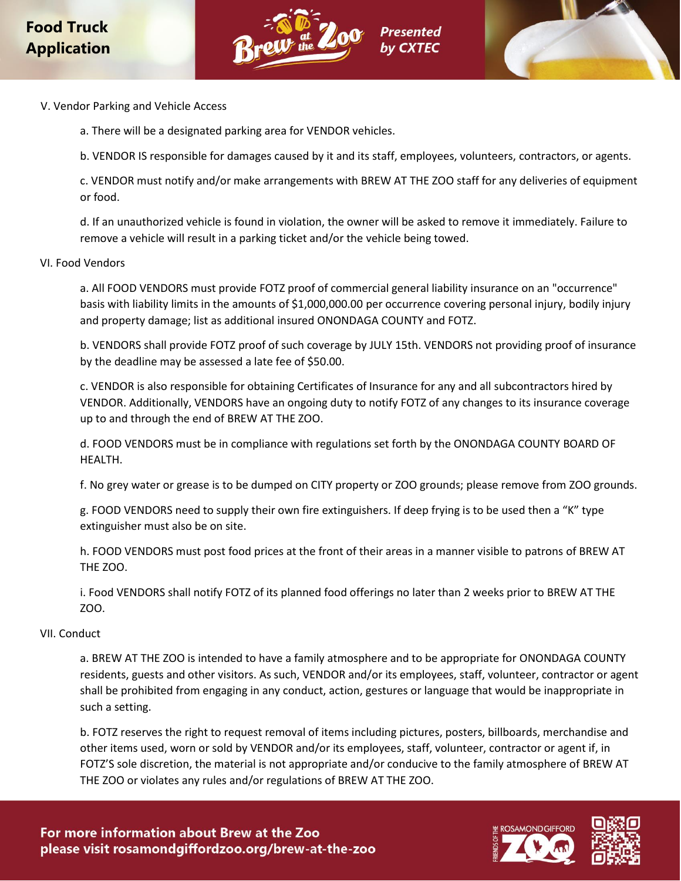



- V. Vendor Parking and Vehicle Access
	- a. There will be a designated parking area for VENDOR vehicles.

b. VENDOR IS responsible for damages caused by it and its staff, employees, volunteers, contractors, or agents.

c. VENDOR must notify and/or make arrangements with BREW AT THE ZOO staff for any deliveries of equipment or food.

d. If an unauthorized vehicle is found in violation, the owner will be asked to remove it immediately. Failure to remove a vehicle will result in a parking ticket and/or the vehicle being towed.

## VI. Food Vendors

a. All FOOD VENDORS must provide FOTZ proof of commercial general liability insurance on an "occurrence" basis with liability limits in the amounts of \$1,000,000.00 per occurrence covering personal injury, bodily injury and property damage; list as additional insured ONONDAGA COUNTY and FOTZ.

b. VENDORS shall provide FOTZ proof of such coverage by JULY 15th. VENDORS not providing proof of insurance by the deadline may be assessed a late fee of \$50.00.

c. VENDOR is also responsible for obtaining Certificates of Insurance for any and all subcontractors hired by VENDOR. Additionally, VENDORS have an ongoing duty to notify FOTZ of any changes to its insurance coverage up to and through the end of BREW AT THE ZOO.

d. FOOD VENDORS must be in compliance with regulations set forth by the ONONDAGA COUNTY BOARD OF HEALTH.

f. No grey water or grease is to be dumped on CITY property or ZOO grounds; please remove from ZOO grounds.

g. FOOD VENDORS need to supply their own fire extinguishers. If deep frying is to be used then a "K" type extinguisher must also be on site.

h. FOOD VENDORS must post food prices at the front of their areas in a manner visible to patrons of BREW AT THE ZOO.

i. Food VENDORS shall notify FOTZ of its planned food offerings no later than 2 weeks prior to BREW AT THE ZOO.

#### VII. Conduct

a. BREW AT THE ZOO is intended to have a family atmosphere and to be appropriate for ONONDAGA COUNTY residents, guests and other visitors. As such, VENDOR and/or its employees, staff, volunteer, contractor or agent shall be prohibited from engaging in any conduct, action, gestures or language that would be inappropriate in such a setting.

b. FOTZ reserves the right to request removal of items including pictures, posters, billboards, merchandise and other items used, worn or sold by VENDOR and/or its employees, staff, volunteer, contractor or agent if, in FOTZ'S sole discretion, the material is not appropriate and/or conducive to the family atmosphere of BREW AT THE ZOO or violates any rules and/or regulations of BREW AT THE ZOO.